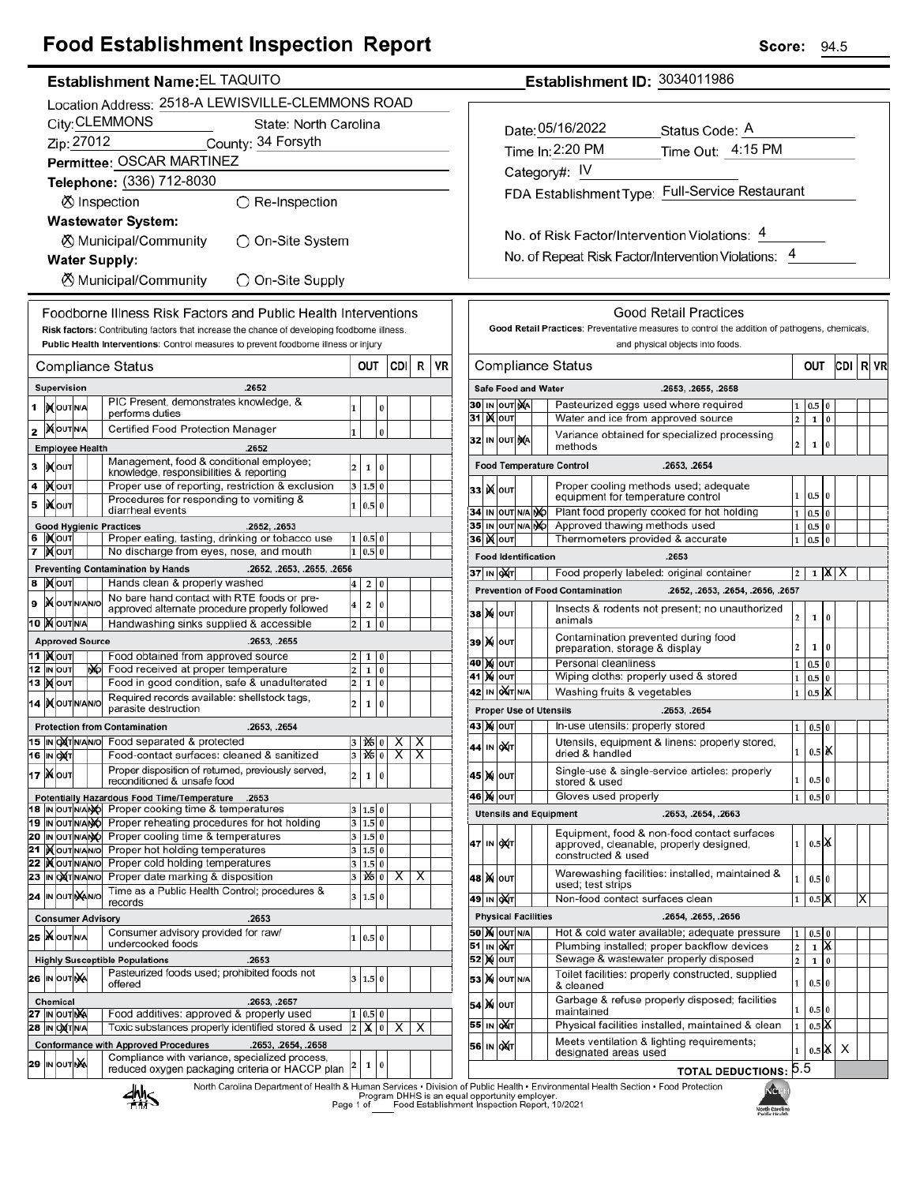## **Food Establishment Inspection Report**

|    | Establishment Name: EL TAQUITO                    |                                        |  |     |                                                                                                                                                                                      |        |                   |                      |       |   |    |
|----|---------------------------------------------------|----------------------------------------|--|-----|--------------------------------------------------------------------------------------------------------------------------------------------------------------------------------------|--------|-------------------|----------------------|-------|---|----|
|    | Location Address: 2518-A LEWISVILLE-CLEMMONS ROAD |                                        |  |     |                                                                                                                                                                                      |        |                   |                      |       |   |    |
|    |                                                   |                                        |  |     | City: CLEMMONS<br>State: North Carolina                                                                                                                                              |        |                   |                      |       |   |    |
|    |                                                   | Zip: 27012                             |  |     | County: 34 Forsyth                                                                                                                                                                   |        |                   |                      |       |   |    |
|    |                                                   |                                        |  |     | Permittee: OSCAR MARTINEZ                                                                                                                                                            |        |                   |                      |       |   |    |
|    |                                                   |                                        |  |     | Telephone: (336) 712-8030                                                                                                                                                            |        |                   |                      |       |   |    |
|    |                                                   |                                        |  |     | <b>Ø</b> Inspection<br>$\bigcirc$ Re-Inspection                                                                                                                                      |        |                   |                      |       |   |    |
|    |                                                   |                                        |  |     | <b>Wastewater System:</b>                                                                                                                                                            |        |                   |                      |       |   |    |
|    |                                                   |                                        |  |     | ⊗ Municipal/Community<br>◯ On-Site System                                                                                                                                            |        |                   |                      |       |   |    |
|    |                                                   |                                        |  |     | <b>Water Supply:</b>                                                                                                                                                                 |        |                   |                      |       |   |    |
|    |                                                   |                                        |  |     | <b>X</b> Municipal/Community<br>◯ On-Site Supply                                                                                                                                     |        |                   |                      |       |   |    |
|    |                                                   |                                        |  |     |                                                                                                                                                                                      |        |                   |                      |       |   |    |
|    |                                                   |                                        |  |     | Foodborne Illness Risk Factors and Public Health Interventions                                                                                                                       |        |                   |                      |       |   |    |
|    |                                                   |                                        |  |     | Risk factors: Contributing factors that increase the chance of developing foodborne illness.<br>Public Health Interventions: Control measures to prevent foodborne illness or injury |        |                   |                      |       |   |    |
|    |                                                   |                                        |  |     |                                                                                                                                                                                      |        |                   |                      |       |   |    |
|    |                                                   |                                        |  |     | Compliance Status                                                                                                                                                                    |        | OUT               |                      | CDI I | R | VR |
|    |                                                   | Supervision                            |  |     | .2652<br>PIC Present, demonstrates knowledge, &                                                                                                                                      |        |                   |                      |       |   |    |
| 1  |                                                   | IX OUT N/A                             |  |     | performs duties                                                                                                                                                                      | 1      |                   | 0                    |       |   |    |
| 2  |                                                   | <b>MOUTNA</b>                          |  |     | Certified Food Protection Manager                                                                                                                                                    | 1      |                   | 0                    |       |   |    |
|    |                                                   | <b>Employee Health</b>                 |  |     | .2652<br>Management, food & conditional employee;                                                                                                                                    |        |                   |                      |       |   |    |
| 3  |                                                   | <b>XOUT</b>                            |  |     | knowledge, responsibilities & reporting                                                                                                                                              | 2      | 1                 | 0                    |       |   |    |
| 4  |                                                   | <b>KOUT</b>                            |  |     | Proper use of reporting, restriction & exclusion<br>Procedures for responding to vomiting &                                                                                          | 3      | 1.5               | $\bf{0}$             |       |   |    |
| 5  |                                                   | ∣Ж∣оυт                                 |  |     | diarrheal events                                                                                                                                                                     | 1      | 0.5               | $\bf{0}$             |       |   |    |
|    |                                                   |                                        |  |     | <b>Good Hygienic Practices</b><br>.2652, .2653                                                                                                                                       |        |                   |                      |       |   |    |
| 7  |                                                   | IXOUT<br><b>XOUT</b>                   |  |     | Proper eating, tasting, drinking or tobacco use<br>No discharge from eyes, nose, and mouth                                                                                           | 1<br>1 | 0.5<br>0.5        | 0<br>0               |       |   |    |
|    |                                                   |                                        |  |     | <b>Preventing Contamination by Hands</b><br>.2652, .2653, .2655, .2656                                                                                                               |        |                   |                      |       |   |    |
| 8  |                                                   | <b>X</b> OUT                           |  |     | Hands clean & properly washed                                                                                                                                                        | 4      | 2                 | 0                    |       |   |    |
| 9  |                                                   | <b>X</b> OUTNANO                       |  |     | No bare hand contact with RTE foods or pre-<br>approved alternate procedure properly followed                                                                                        | 4      | 2                 | 0                    |       |   |    |
|    |                                                   | 10 MOUTNA                              |  |     | Handwashing sinks supplied & accessible                                                                                                                                              | 2      | $\mathbf{1}$      | 0                    |       |   |    |
|    |                                                   | <b>Approved Source</b>                 |  |     | .2653, .2655                                                                                                                                                                         |        |                   |                      |       |   |    |
|    |                                                   | 11  ) <b>(</b> ouт<br>12 IN OUT        |  | NO. | Food obtained from approved source<br>Food received at proper temperature                                                                                                            | 2<br>2 | 1<br>$\mathbf{1}$ | 0<br>0               |       |   |    |
|    |                                                   | 13  Х олт                              |  |     | Food in good condition, safe & unadulterated                                                                                                                                         | 2      | 1                 | 0                    |       |   |    |
|    |                                                   | 14   OUTNANO                           |  |     | Required records available: shellstock tags.<br>2<br>parasite destruction                                                                                                            |        |                   |                      |       |   |    |
|    |                                                   |                                        |  |     | <b>Protection from Contamination</b><br>.2653, .2654                                                                                                                                 |        |                   |                      |       |   |    |
|    |                                                   |                                        |  |     | 15 IN OXT N/AN/O Food separated & protected                                                                                                                                          | 3      | 125   0           |                      | х     | х |    |
|    |                                                   | 16 IN OXT                              |  |     | Food-contact surfaces: cleaned & sanitized                                                                                                                                           | 3      | 1X5 0             |                      | x     | x |    |
|    |                                                   | <b>17 Ж</b> олт                        |  |     | Proper disposition of returned, previously served,<br>reconditioned & unsafe food                                                                                                    | 2      | $\mathbf{1}$      | 0                    |       |   |    |
|    |                                                   |                                        |  |     | Potentially Hazardous Food Time/Temperature<br>.2653<br>Proper cooking time & temperatures                                                                                           |        |                   |                      |       |   |    |
|    |                                                   | 18 IN OUT N/ANO<br>19  IN OUTN/ANO     |  |     | Proper reheating procedures for hot holding                                                                                                                                          | 3<br>3 | 1.5<br>1.5        | $\bf{0}$<br>$\bf{0}$ |       |   |    |
|    |                                                   | 20 IN OUT N/ANO                        |  |     | Proper cooling time & temperatures                                                                                                                                                   | 3      | 1.5 0             |                      |       |   |    |
| 21 |                                                   | <b>IX</b> OUTNANO<br>22  ) (OUTNANO    |  |     | Proper hot holding temperatures<br>3<br>$\pmb{0}$<br>1.5<br>Proper cold holding temperatures<br>3<br>$\bf{0}$<br>1.5                                                                 |        |                   |                      |       |   |    |
| 23 |                                                   | IN OXTNANO                             |  |     | Proper date marking & disposition                                                                                                                                                    | 3      | ѩ                 | 0                    | х     | х |    |
|    |                                                   | 24 IN OUT NANO                         |  |     | Time as a Public Health Control; procedures &<br>records                                                                                                                             | 3      | 1.5               | 0                    |       |   |    |
|    |                                                   |                                        |  |     | .2653<br><b>Consumer Advisory</b>                                                                                                                                                    |        |                   |                      |       |   |    |
| 25 |                                                   | <b>XOUTINA</b>                         |  |     | Consumer advisory provided for raw/                                                                                                                                                  | 1      | 0.5               | $\bf{0}$             |       |   |    |
|    |                                                   |                                        |  |     | undercooked foods<br>.2653                                                                                                                                                           |        |                   |                      |       |   |    |
|    |                                                   | 26 IN OUT NA                           |  |     | <b>Highly Susceptible Populations</b><br>Pasteurized foods used; prohibited foods not                                                                                                | 3      | 1.5               | $\bf{0}$             |       |   |    |
|    |                                                   |                                        |  |     | offered                                                                                                                                                                              |        |                   |                      |       |   |    |
|    |                                                   | <b>Chemical</b><br><b>27 IN OUT NA</b> |  |     | .2653, .2657<br>Food additives: approved & properly used                                                                                                                             | 1      | 0.5               | 0                    |       |   |    |
|    |                                                   | 28  IN O <b>X</b> TN/A                 |  |     | Toxic substances properly identified stored & used                                                                                                                                   | 2      | $\mathsf{x}$      | 0                    | х     | X |    |
|    |                                                   |                                        |  |     | <b>Conformance with Approved Procedures</b><br>.2653, .2654, .2658                                                                                                                   |        |                   |                      |       |   |    |
| 29 |                                                   | IN OUT NA                              |  |     | Compliance with variance, specialized process,<br>reduced oxygen packaging criteria or HACCP plan                                                                                    | 2      | 1                 | 0                    |       |   |    |
|    |                                                   |                                        |  |     | North Carolina Department of Health & Human Services . Division<br>и.                                                                                                                |        |                   |                      |       |   |    |

Establishment ID: 3034011986

| Date: 05/16/2022 | Status Code: A                                  |
|------------------|-------------------------------------------------|
| Time In: 2:20 PM | Time Out: 4:15 PM                               |
| Category#: IV    |                                                 |
|                  | FDA Establishment Type: Full-Service Restaurant |
|                  |                                                 |

No. of Risk Factor/Intervention Violations: 4 No. of Repeat Risk Factor/Intervention Violations: 4

|                                                         |                                                                                     |                     |    |                            | Good Retail Practices: Preventative measures to control the addition of pathogens, chemicals,<br>and physical objects into foods. |                         |                |          |     |   |    |
|---------------------------------------------------------|-------------------------------------------------------------------------------------|---------------------|----|----------------------------|-----------------------------------------------------------------------------------------------------------------------------------|-------------------------|----------------|----------|-----|---|----|
| Compliance Status                                       |                                                                                     |                     |    |                            |                                                                                                                                   |                         |                | OUT      | CDI | R | VR |
|                                                         |                                                                                     |                     |    | <b>Safe Food and Water</b> | .2653, .2655, .2658                                                                                                               |                         |                |          |     |   |    |
| Pasteurized eggs used where required<br>30<br>IN OUT NA |                                                                                     |                     |    |                            |                                                                                                                                   |                         | 0.5            |          |     |   |    |
| 31                                                      | K                                                                                   | OUT                 |    |                            | Water and ice from approved source                                                                                                | $\overline{2}$          | 1              | $\bf{0}$ |     |   |    |
| 32                                                      |                                                                                     | IN OUT              | ŅA |                            | Variance obtained for specialized processing<br>methods                                                                           | $\overline{\mathbf{c}}$ | 1              | 0        |     |   |    |
| <b>Food Temperature Control</b><br>.2653, .2654         |                                                                                     |                     |    |                            |                                                                                                                                   |                         |                |          |     |   |    |
| 33                                                      |                                                                                     | <b>K</b> lout       |    |                            | Proper cooling methods used; adequate<br>equipment for temperature control                                                        | 1                       | 0.5            | $\bf{0}$ |     |   |    |
| 34                                                      | IN                                                                                  | OUT N/A             |    | <b>NO</b>                  | Plant food properly cooked for hot holding                                                                                        | 1                       | 0.5            | 0        |     |   |    |
| 35                                                      |                                                                                     | IN OUT N/A NO       |    |                            | Approved thawing methods used                                                                                                     | 1                       | 0.5            | 0        |     |   |    |
|                                                         |                                                                                     | <b>36∣ )(</b> ∣о∪т  |    |                            | Thermometers provided & accurate                                                                                                  | 1                       | 0.5            | $\bf{0}$ |     |   |    |
|                                                         |                                                                                     |                     |    | <b>Food Identification</b> | .2653                                                                                                                             |                         |                |          |     |   |    |
|                                                         |                                                                                     | 37 IN OXT           |    |                            | Food properly labeled: original container                                                                                         | 2                       | 1              | IXI      | х   |   |    |
|                                                         |                                                                                     |                     |    |                            | <b>Prevention of Food Contamination</b><br>.2652, .2653, .2654, .2656, .2657                                                      |                         |                |          |     |   |    |
| 38                                                      |                                                                                     | <b>M</b> OUT        |    |                            | Insects & rodents not present; no unauthorized<br>animals                                                                         | 2                       | 1              | 0        |     |   |    |
| 39                                                      |                                                                                     | <b>X</b> OUT        |    |                            | Contamination prevented during food<br>preparation, storage & display                                                             | 2                       | 1              | $\bf{0}$ |     |   |    |
| 40                                                      | M                                                                                   | OUT                 |    |                            | Personal cleanliness                                                                                                              | 1                       | 0.5            | 0        |     |   |    |
| 41                                                      |                                                                                     | <b>X</b> OUT        |    |                            | Wiping cloths: properly used & stored                                                                                             | $\mathbf{1}$            | 0.5            | $\bf{0}$ |     |   |    |
| 42                                                      |                                                                                     | IN OAT NA           |    |                            | Washing fruits & vegetables                                                                                                       | 1                       | 0.5            | й        |     |   |    |
|                                                         |                                                                                     |                     |    |                            | <b>Proper Use of Utensils</b><br>.2653, .2654                                                                                     |                         |                |          |     |   |    |
|                                                         |                                                                                     | 43  )X  OUT         |    |                            | In-use utensils: properly stored                                                                                                  | 1                       | 0.5            | $\bf{0}$ |     |   |    |
| 44                                                      | IN                                                                                  | <b>DAT</b>          |    |                            | Utensils, equipment & linens: properly stored,<br>dried & handled                                                                 | 1                       | $_{0.5}$       | α        |     |   |    |
| 45                                                      | M                                                                                   | OUT                 |    |                            | Single-use & single-service articles: properly<br>stored & used                                                                   | 1                       | 0.5            | $\bf{0}$ |     |   |    |
| 46                                                      | M                                                                                   | OUT                 |    |                            | Gloves used properly                                                                                                              | $\mathbf{1}$            | 0.5            | 0        |     |   |    |
|                                                         |                                                                                     |                     |    |                            | <b>Utensils and Equipment</b><br>.2653, .2654, .2663                                                                              |                         |                |          |     |   |    |
| 47                                                      | IN                                                                                  | ∣ох(т               |    |                            | Equipment, food & non-food contact surfaces<br>approved, cleanable, properly designed,<br>constructed & used                      | 1                       | 0.5            | IX.      |     |   |    |
| 48                                                      |                                                                                     | <b>M</b> OUT        |    |                            | Warewashing facilities: installed, maintained &<br>used; test strips                                                              | 1                       | 0.5            | $\bf{0}$ |     |   |    |
| 49                                                      |                                                                                     | IN QAT              |    |                            | Non-food contact surfaces clean                                                                                                   | 1                       | 0.5            | X        |     | x |    |
|                                                         |                                                                                     |                     |    | <b>Physical Facilities</b> | .2654, .2655, .2656                                                                                                               |                         |                |          |     |   |    |
|                                                         |                                                                                     | <b>50 M</b> OUT N/A |    |                            | Hot & cold water available; adequate pressure                                                                                     | 1                       | 0.5            | $\bf{0}$ |     |   |    |
| 51                                                      |                                                                                     | IN QUT              |    |                            | Plumbing installed; proper backflow devices                                                                                       |                         |                | X        |     |   |    |
| 52                                                      | M                                                                                   | OUT                 |    |                            | Sewage & wastewater properly disposed                                                                                             | $\overline{\mathbf{c}}$ | 1              | 0        |     |   |    |
| 53                                                      | M                                                                                   | OUT N/A             |    |                            | Toilet facilities: properly constructed, supplied<br>1<br>& cleaned                                                               |                         |                |          |     |   |    |
| 54<br>55                                                | M                                                                                   | OUT                 |    |                            | Garbage & refuse properly disposed; facilities<br>$\bf{0}$<br>1<br>$_{0.5}$<br>maintained                                         |                         |                |          |     |   |    |
|                                                         | оXт<br>Physical facilities installed, maintained & clean<br>X<br>1<br>IN<br>$0.5\,$ |                     |    |                            |                                                                                                                                   |                         |                |          |     |   |    |
| 56                                                      | IN                                                                                  | OХТ                 |    |                            | Meets ventilation & lighting requirements;<br>designated areas used                                                               | 1                       | $0.5$   $\chi$ |          | х   |   |    |
|                                                         |                                                                                     |                     |    |                            | <b>TOTAL DEDUCTIONS:</b>                                                                                                          | 5.5                     |                |          |     |   |    |
|                                                         |                                                                                     |                     |    |                            | n of Public Health • Environmental Health Section • Eood Protection                                                               |                         |                |          |     |   |    |

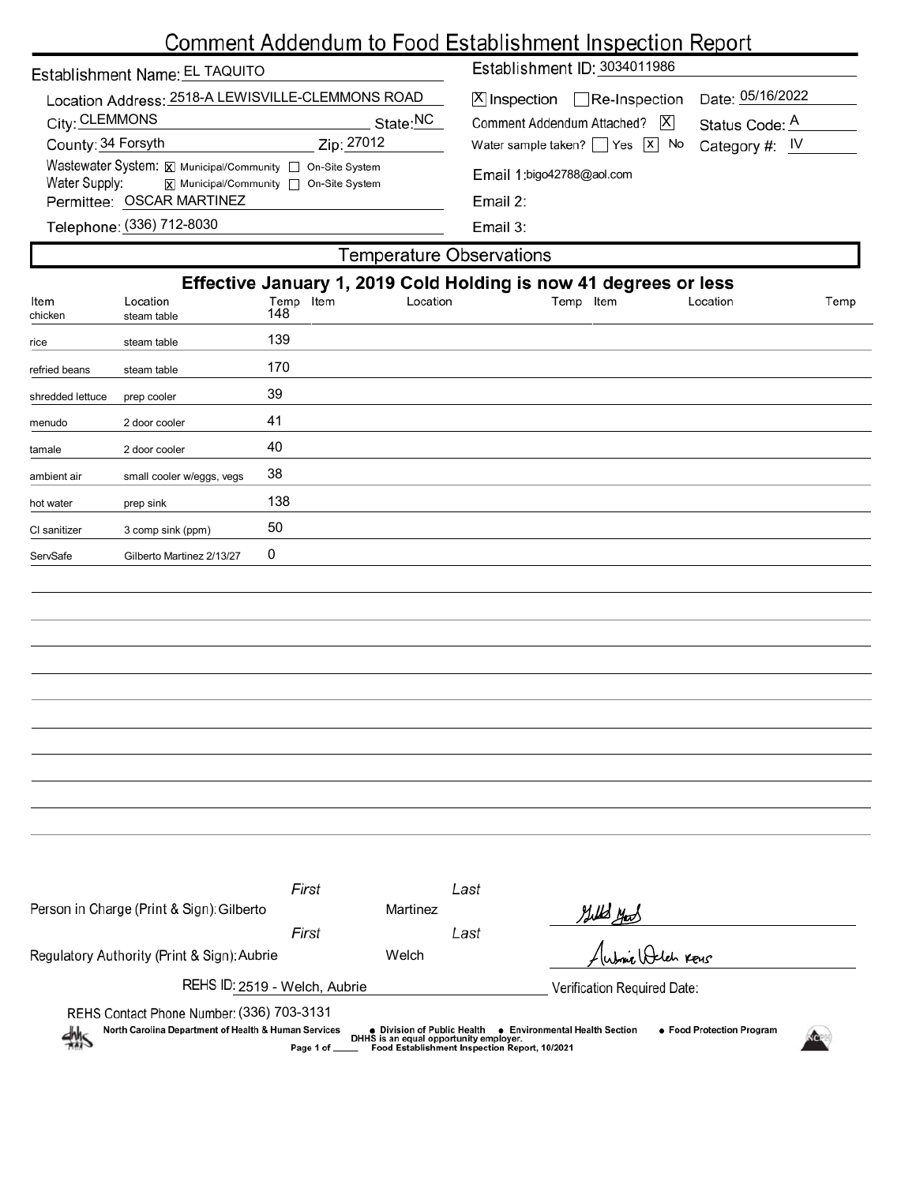## Comment Addendum to Food Establishment Inspection Report

| Establishment Name: EL TAQUITO                                                                                              |            | Establishment ID: 3034011986                                            |                                    |  |  |  |  |
|-----------------------------------------------------------------------------------------------------------------------------|------------|-------------------------------------------------------------------------|------------------------------------|--|--|--|--|
| Location Address: 2518-A LEWISVILLE-CLEMMONS ROAD<br>City: CLEMMONS                                                         | State:NC   | $[X]$ Inspection $\Box$ Re-Inspection<br>Comment Addendum Attached?   X | Date: 05/16/2022<br>Status Code: A |  |  |  |  |
| County: 34 Forsyth                                                                                                          | Zip: 27012 | Water sample taken?   $\left  \right $ Yes $\left  \right $ No          | Category #: $IV$                   |  |  |  |  |
| Wastewater System: X Municipal/Community   On-Site System<br>Water Supply:<br><b>x</b> Municipal/Community □ On-Site System |            | Email 1:bigo42788@aol.com                                               |                                    |  |  |  |  |
| Permittee: OSCAR MARTINEZ                                                                                                   |            | Email $2$ :                                                             |                                    |  |  |  |  |
| Telephone: (336) 712-8030                                                                                                   |            | Email $3:$                                                              |                                    |  |  |  |  |
| Temperature Observations                                                                                                    |            |                                                                         |                                    |  |  |  |  |
| ----<br>.   .<br>.                                                                                                          |            |                                                                         |                                    |  |  |  |  |

|                  |                                           |                  |          | Effective January 1, 2019 Cold Holding is now 41 degrees or less |          |      |
|------------------|-------------------------------------------|------------------|----------|------------------------------------------------------------------|----------|------|
| Item<br>chicken  | Location<br>steam table                   | Temp Item<br>148 | Location | Temp Item                                                        | Location | Temp |
| rice             | steam table                               | 139              |          |                                                                  |          |      |
| refried beans    | steam table                               | 170              |          |                                                                  |          |      |
| shredded lettuce | prep cooler                               | 39               |          |                                                                  |          |      |
| menudo           | 2 door cooler                             | 41               |          |                                                                  |          |      |
| tamale           | 2 door cooler                             | 40               |          |                                                                  |          |      |
| ambient air      | small cooler w/eggs, vegs                 | 38               |          |                                                                  |          |      |
| hot water        | prep sink                                 | 138              |          |                                                                  |          |      |
| CI sanitizer     | 3 comp sink (ppm)                         | 50               |          |                                                                  |          |      |
| ServSafe         | Gilberto Martinez 2/13/27                 | 0                |          |                                                                  |          |      |
|                  |                                           |                  |          |                                                                  |          |      |
|                  |                                           |                  |          |                                                                  |          |      |
|                  |                                           |                  |          |                                                                  |          |      |
|                  |                                           |                  |          |                                                                  |          |      |
|                  |                                           |                  |          |                                                                  |          |      |
|                  |                                           |                  |          |                                                                  |          |      |
|                  |                                           |                  |          |                                                                  |          |      |
|                  |                                           |                  |          |                                                                  |          |      |
|                  |                                           |                  |          |                                                                  |          |      |
|                  |                                           |                  |          |                                                                  |          |      |
|                  |                                           |                  |          |                                                                  |          |      |
|                  |                                           | First            | Last     |                                                                  |          |      |
|                  | Person in Charge (Print & Sign): Gilberto |                  | Martinez | Gills you                                                        |          |      |

| Person in Charge (Print & Sign): Gilberto                                                                                              | Martinez                                                                                                               | Gills you                                                   |
|----------------------------------------------------------------------------------------------------------------------------------------|------------------------------------------------------------------------------------------------------------------------|-------------------------------------------------------------|
| First                                                                                                                                  | Last                                                                                                                   |                                                             |
| Regulatory Authority (Print & Sign): Aubrie                                                                                            | Welch                                                                                                                  | Aubric Deleh Keus                                           |
| REHS ID: 2519 - Welch, Aubrie                                                                                                          | Verification Required Date:                                                                                            |                                                             |
| REHS Contact Phone Number: (336) 703-3131<br>North Carolina Department of Health & Human Services<br>4M <sub>S</sub><br>Page 1 of ____ | ● Division of Public Health<br>DHHS is an equal opportunity employer.<br>Food Establishment Inspection Report, 10/2021 | • Food Protection Program<br>● Environmental Health Section |